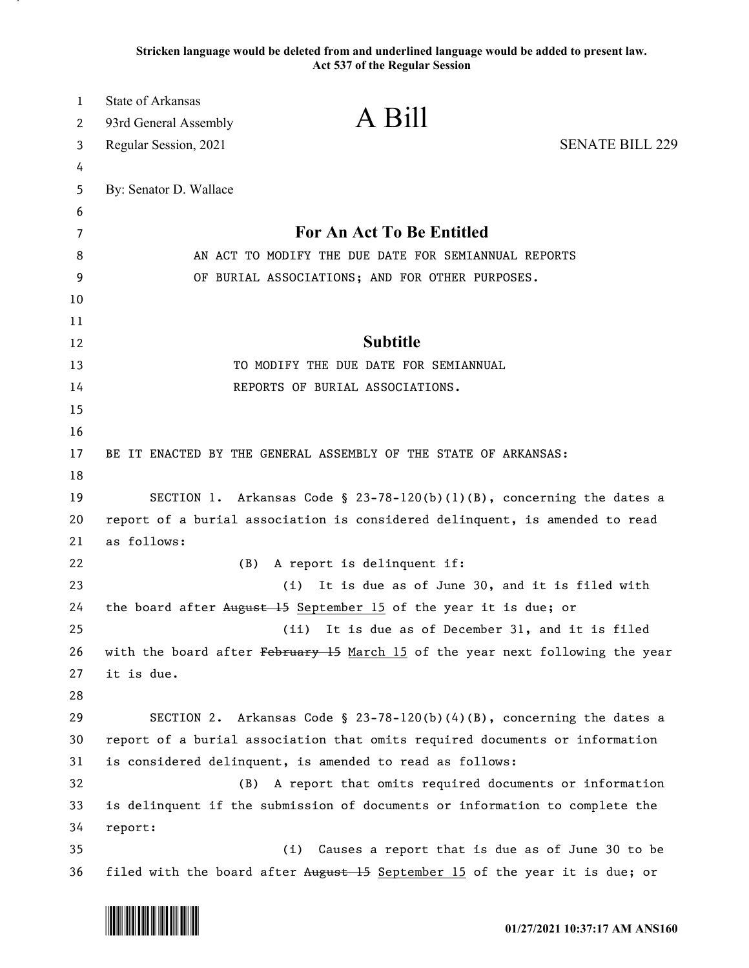**Stricken language would be deleted from and underlined language would be added to present law. Act 537 of the Regular Session**

| 1       | <b>State of Arkansas</b>                                                      | A Bill                                        |                                                                       |
|---------|-------------------------------------------------------------------------------|-----------------------------------------------|-----------------------------------------------------------------------|
| 2       | 93rd General Assembly                                                         |                                               |                                                                       |
| 3       | Regular Session, 2021                                                         |                                               | <b>SENATE BILL 229</b>                                                |
| 4       |                                                                               |                                               |                                                                       |
| 5       | By: Senator D. Wallace                                                        |                                               |                                                                       |
| 6       |                                                                               | For An Act To Be Entitled                     |                                                                       |
| 7       | AN ACT TO MODIFY THE DUE DATE FOR SEMIANNUAL REPORTS                          |                                               |                                                                       |
| 8       | OF BURIAL ASSOCIATIONS; AND FOR OTHER PURPOSES.                               |                                               |                                                                       |
| 9<br>10 |                                                                               |                                               |                                                                       |
| 11      |                                                                               |                                               |                                                                       |
| 12      |                                                                               | <b>Subtitle</b>                               |                                                                       |
| 13      |                                                                               | TO MODIFY THE DUE DATE FOR SEMIANNUAL         |                                                                       |
| 14      |                                                                               | REPORTS OF BURIAL ASSOCIATIONS.               |                                                                       |
| 15      |                                                                               |                                               |                                                                       |
| 16      |                                                                               |                                               |                                                                       |
| 17      | BE IT ENACTED BY THE GENERAL ASSEMBLY OF THE STATE OF ARKANSAS:               |                                               |                                                                       |
| 18      |                                                                               |                                               |                                                                       |
| 19      |                                                                               |                                               | SECTION 1. Arkansas Code § 23-78-120(b)(1)(B), concerning the dates a |
| 20      | report of a burial association is considered delinquent, is amended to read   |                                               |                                                                       |
| 21      | as follows:                                                                   |                                               |                                                                       |
| 22      | (B)                                                                           | A report is delinquent if:                    |                                                                       |
| 23      | (i)                                                                           | It is due as of June 30, and it is filed with |                                                                       |
| 24      | the board after August 15 September 15 of the year it is due; or              |                                               |                                                                       |
| 25      | (ii)                                                                          | It is due as of December 31, and it is filed  |                                                                       |
| 26      | with the board after February 15 March 15 of the year next following the year |                                               |                                                                       |
| 27      | it is due.                                                                    |                                               |                                                                       |
| 28      |                                                                               |                                               |                                                                       |
| 29      |                                                                               |                                               | SECTION 2. Arkansas Code § 23-78-120(b)(4)(B), concerning the dates a |
| 30      | report of a burial association that omits required documents or information   |                                               |                                                                       |
| 31      | is considered delinquent, is amended to read as follows:                      |                                               |                                                                       |
| 32      | A report that omits required documents or information<br>(B)                  |                                               |                                                                       |
| 33      | is delinquent if the submission of documents or information to complete the   |                                               |                                                                       |
| 34      | report:                                                                       |                                               |                                                                       |
| 35      |                                                                               |                                               | (i) Causes a report that is due as of June 30 to be                   |
| 36      | filed with the board after August 15 September 15 of the year it is due; or   |                                               |                                                                       |